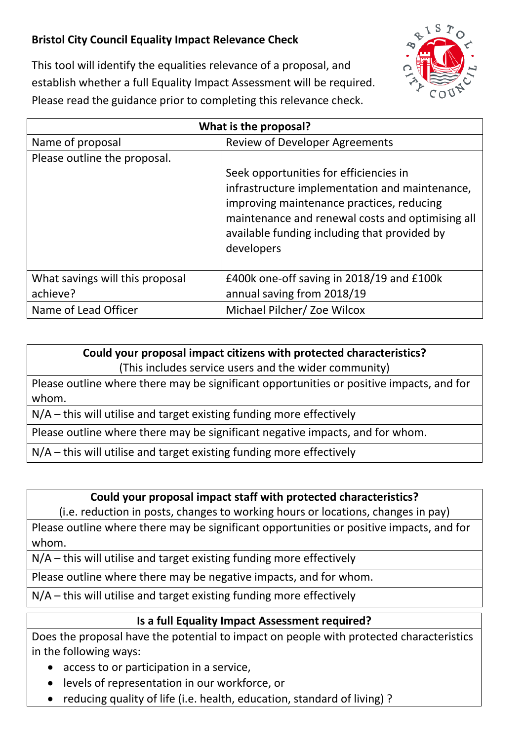## **Bristol City Council Equality Impact Relevance Check**



This tool will identify the equalities relevance of a proposal, and establish whether a full Equality Impact Assessment will be required. Please read the guidance prior to completing this relevance check.

| What is the proposal?                       |                                                                                                                                                                                                                                                         |
|---------------------------------------------|---------------------------------------------------------------------------------------------------------------------------------------------------------------------------------------------------------------------------------------------------------|
| Name of proposal                            | <b>Review of Developer Agreements</b>                                                                                                                                                                                                                   |
| Please outline the proposal.                |                                                                                                                                                                                                                                                         |
|                                             | Seek opportunities for efficiencies in<br>infrastructure implementation and maintenance,<br>improving maintenance practices, reducing<br>maintenance and renewal costs and optimising all<br>available funding including that provided by<br>developers |
| What savings will this proposal<br>achieve? | £400k one-off saving in 2018/19 and £100k<br>annual saving from 2018/19                                                                                                                                                                                 |
| Name of Lead Officer                        | Michael Pilcher/ Zoe Wilcox                                                                                                                                                                                                                             |

## **Could your proposal impact citizens with protected characteristics?**

(This includes service users and the wider community)

Please outline where there may be significant opportunities or positive impacts, and for whom.

N/A – this will utilise and target existing funding more effectively

Please outline where there may be significant negative impacts, and for whom.

N/A – this will utilise and target existing funding more effectively

## **Could your proposal impact staff with protected characteristics?**

(i.e. reduction in posts, changes to working hours or locations, changes in pay)

Please outline where there may be significant opportunities or positive impacts, and for whom.

N/A – this will utilise and target existing funding more effectively

Please outline where there may be negative impacts, and for whom.

N/A – this will utilise and target existing funding more effectively

## **Is a full Equality Impact Assessment required?**

Does the proposal have the potential to impact on people with protected characteristics in the following ways:

- access to or participation in a service,
- levels of representation in our workforce, or
- reducing quality of life (i.e. health, education, standard of living)?